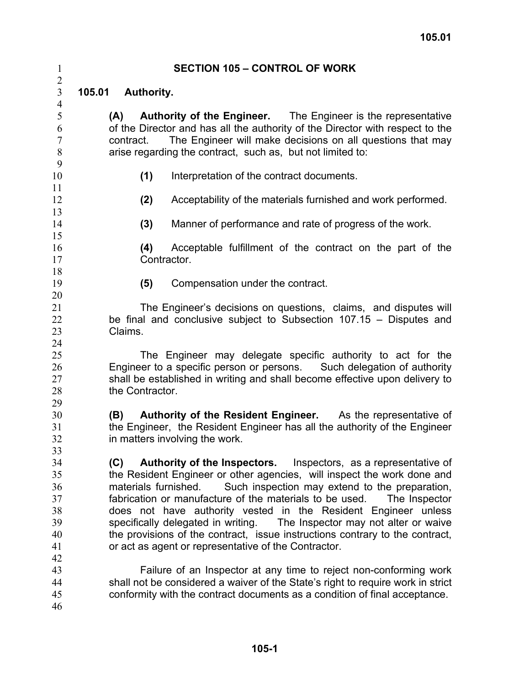2

# 1 **SECTION 105 – CONTROL OF WORK**

3 **105.01 Authority.**

> **(A) Authority of the Engineer.** The Engineer is the representative of the Director and has all the authority of the Director with respect to the contract. The Engineer will make decisions on all questions that may arise regarding the contract, such as, but not limited to:

9 10

**(1)** Interpretation of the contract documents.

- **(2)** Acceptability of the materials furnished and work performed.
- **(3)** Manner of performance and rate of progress of the work.
- **(4)** Acceptable fulfillment of the contract on the part of the Contractor.
- - **(5)** Compensation under the contract.

The Engineer's decisions on questions, claims, and disputes will be final and conclusive subject to Subsection 107.15 – Disputes and Claims.

The Engineer may delegate specific authority to act for the Engineer to a specific person or persons. Such delegation of authority shall be established in writing and shall become effective upon delivery to the Contractor.

**(B) Authority of the Resident Engineer.** As the representative of the Engineer, the Resident Engineer has all the authority of the Engineer in matters involving the work.

34 35 36 37 38 39 40 41 **(C) Authority of the Inspectors.** Inspectors, as a representative of the Resident Engineer or other agencies, will inspect the work done and materials furnished. Such inspection may extend to the preparation, fabrication or manufacture of the materials to be used. The Inspector does not have authority vested in the Resident Engineer unless specifically delegated in writing. The Inspector may not alter or waive the provisions of the contract, issue instructions contrary to the contract, or act as agent or representative of the Contractor.

- 43 44 45 Failure of an Inspector at any time to reject non-conforming work shall not be considered a waiver of the State's right to require work in strict conformity with the contract documents as a condition of final acceptance.
- 46

42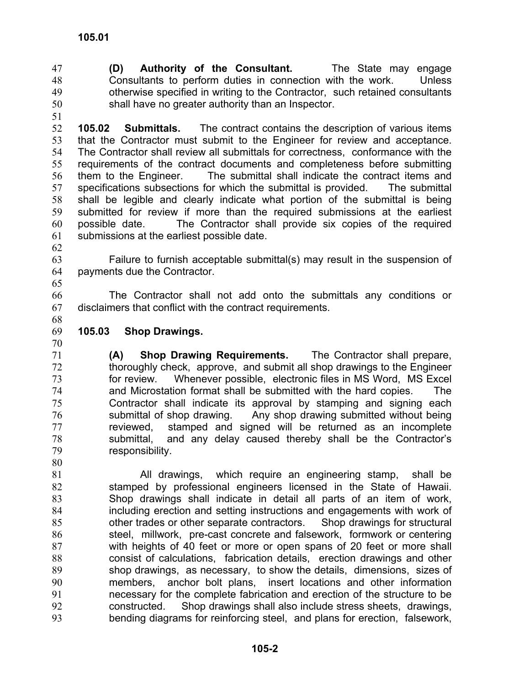**(D) Authority of the Consultant.** The State may engage Consultants to perform duties in connection with the work. Unless otherwise specified in writing to the Contractor, such retained consultants shall have no greater authority than an Inspector. 47 48 49 50

51

52 53 54 55 56 57 58 59 60 61 **105.02 Submittals.** The contract contains the description of various items that the Contractor must submit to the Engineer for review and acceptance. The Contractor shall review all submittals for correctness, conformance with the requirements of the contract documents and completeness before submitting them to the Engineer. The submittal shall indicate the contract items and specifications subsections for which the submittal is provided. The submittal shall be legible and clearly indicate what portion of the submittal is being submitted for review if more than the required submissions at the earliest possible date. The Contractor shall provide six copies of the required submissions at the earliest possible date.

62

65

63 64 Failure to furnish acceptable submittal(s) may result in the suspension of payments due the Contractor.

66 67 68 The Contractor shall not add onto the submittals any conditions or disclaimers that conflict with the contract requirements.

- 69 **105.03 Shop Drawings.**
- 70

80

71 72 73 74 75 76 77 78 79 **(A) Shop Drawing Requirements.** The Contractor shall prepare, thoroughly check, approve, and submit all shop drawings to the Engineer for review. Whenever possible, electronic files in MS Word, MS Excel and Microstation format shall be submitted with the hard copies. The Contractor shall indicate its approval by stamping and signing each submittal of shop drawing. Any shop drawing submitted without being reviewed, stamped and signed will be returned as an incomplete submittal, and any delay caused thereby shall be the Contractor's responsibility.

81 82 83 84 85 86 87 88 89 90 91 92 93 All drawings, which require an engineering stamp, shall be stamped by professional engineers licensed in the State of Hawaii. Shop drawings shall indicate in detail all parts of an item of work, including erection and setting instructions and engagements with work of other trades or other separate contractors. Shop drawings for structural steel, millwork, pre-cast concrete and falsework, formwork or centering with heights of 40 feet or more or open spans of 20 feet or more shall consist of calculations, fabrication details, erection drawings and other shop drawings, as necessary, to show the details, dimensions, sizes of members, anchor bolt plans, insert locations and other information necessary for the complete fabrication and erection of the structure to be constructed. Shop drawings shall also include stress sheets, drawings, bending diagrams for reinforcing steel, and plans for erection, falsework,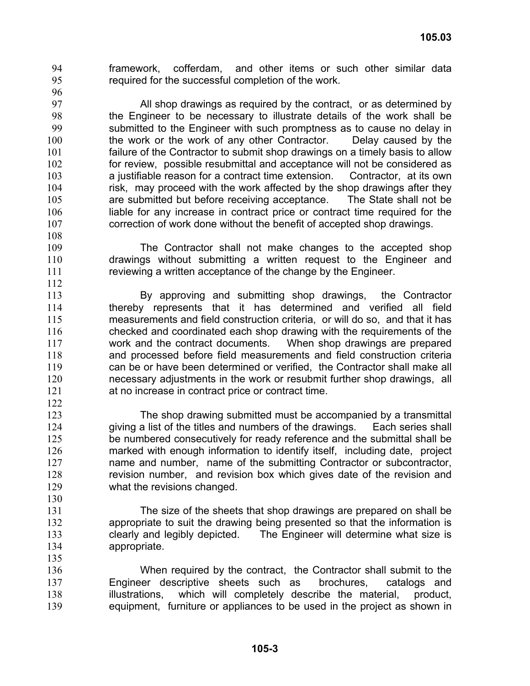framework, cofferdam, and other items or such other similar data required for the successful completion of the work. 94 95

96

122

130

135

97 98 99 100 101 102 103 104 105 106 107 All shop drawings as required by the contract, or as determined by the Engineer to be necessary to illustrate details of the work shall be submitted to the Engineer with such promptness as to cause no delay in the work or the work of any other Contractor. Delay caused by the failure of the Contractor to submit shop drawings on a timely basis to allow for review, possible resubmittal and acceptance will not be considered as a justifiable reason for a contract time extension. Contractor, at its own risk, may proceed with the work affected by the shop drawings after they are submitted but before receiving acceptance. The State shall not be liable for any increase in contract price or contract time required for the correction of work done without the benefit of accepted shop drawings.

- The Contractor shall not make changes to the accepted shop drawings without submitting a written request to the Engineer and reviewing a written acceptance of the change by the Engineer.
- 113 114 115 116 117 118 119 120 121 By approving and submitting shop drawings, the Contractor thereby represents that it has determined and verified all field measurements and field construction criteria, or will do so, and that it has checked and coordinated each shop drawing with the requirements of the work and the contract documents. When shop drawings are prepared and processed before field measurements and field construction criteria can be or have been determined or verified, the Contractor shall make all necessary adjustments in the work or resubmit further shop drawings, all at no increase in contract price or contract time.
- 123 124 125 126 127 128 129 The shop drawing submitted must be accompanied by a transmittal giving a list of the titles and numbers of the drawings. Each series shall be numbered consecutively for ready reference and the submittal shall be marked with enough information to identify itself, including date, project name and number, name of the submitting Contractor or subcontractor, revision number, and revision box which gives date of the revision and what the revisions changed.
- 131 132 133 134 The size of the sheets that shop drawings are prepared on shall be appropriate to suit the drawing being presented so that the information is clearly and legibly depicted. The Engineer will determine what size is appropriate.
- 136 137 138 139 When required by the contract, the Contractor shall submit to the Engineer descriptive sheets such as brochures, catalogs and illustrations, which will completely describe the material, product, equipment, furniture or appliances to be used in the project as shown in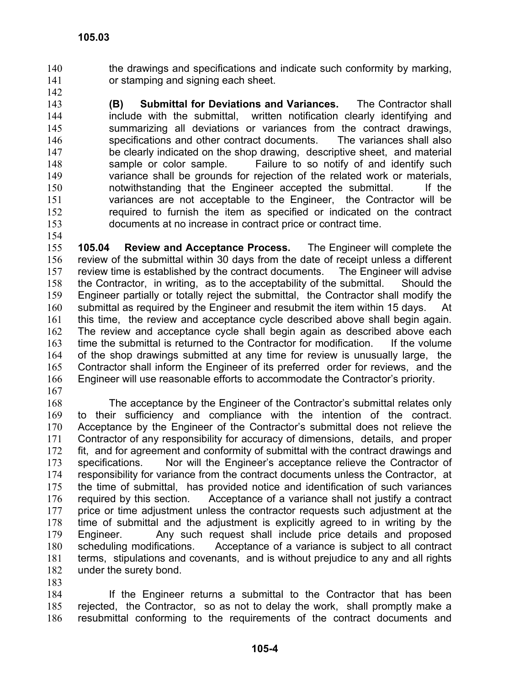- the drawings and specifications and indicate such conformity by marking, or stamping and signing each sheet. 140 141
- 142

143 144 145 146 147 148 149 150 151 152 153 **(B) Submittal for Deviations and Variances.** The Contractor shall include with the submittal, written notification clearly identifying and summarizing all deviations or variances from the contract drawings, specifications and other contract documents. The variances shall also be clearly indicated on the shop drawing, descriptive sheet, and material sample or color sample. Failure to so notify of and identify such variance shall be grounds for rejection of the related work or materials, notwithstanding that the Engineer accepted the submittal. If the variances are not acceptable to the Engineer, the Contractor will be required to furnish the item as specified or indicated on the contract documents at no increase in contract price or contract time.

154

155 156 157 158 159 160 161 162 163 164 165 166 **105.04 Review and Acceptance Process.** The Engineer will complete the review of the submittal within 30 days from the date of receipt unless a different review time is established by the contract documents. The Engineer will advise the Contractor, in writing, as to the acceptability of the submittal. Should the Engineer partially or totally reject the submittal, the Contractor shall modify the submittal as required by the Engineer and resubmit the item within 15 days. At this time, the review and acceptance cycle described above shall begin again. The review and acceptance cycle shall begin again as described above each time the submittal is returned to the Contractor for modification. If the volume of the shop drawings submitted at any time for review is unusually large, the Contractor shall inform the Engineer of its preferred order for reviews, and the Engineer will use reasonable efforts to accommodate the Contractor's priority.

167

168 169 170 171 172 173 174 175 176 177 178 179 180 181 182 The acceptance by the Engineer of the Contractor's submittal relates only to their sufficiency and compliance with the intention of the contract. Acceptance by the Engineer of the Contractor's submittal does not relieve the Contractor of any responsibility for accuracy of dimensions, details, and proper fit, and for agreement and conformity of submittal with the contract drawings and specifications. Nor will the Engineer's acceptance relieve the Contractor of responsibility for variance from the contract documents unless the Contractor, at the time of submittal, has provided notice and identification of such variances required by this section. Acceptance of a variance shall not justify a contract price or time adjustment unless the contractor requests such adjustment at the time of submittal and the adjustment is explicitly agreed to in writing by the Engineer. Any such request shall include price details and proposed scheduling modifications. Acceptance of a variance is subject to all contract terms, stipulations and covenants, and is without prejudice to any and all rights under the surety bond.

183

184 185 186 If the Engineer returns a submittal to the Contractor that has been rejected, the Contractor, so as not to delay the work, shall promptly make a resubmittal conforming to the requirements of the contract documents and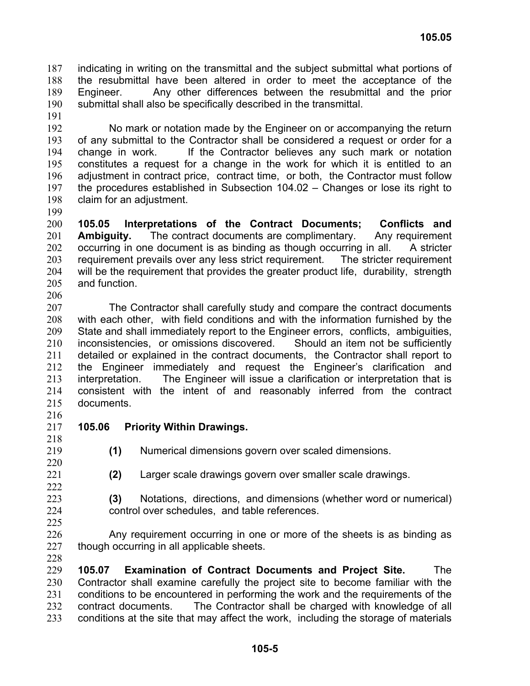indicating in writing on the transmittal and the subject submittal what portions of the resubmittal have been altered in order to meet the acceptance of the Engineer. Any other differences between the resubmittal and the prior submittal shall also be specifically described in the transmittal. 187 188 189 190

191

192 193 194 195 196 197 198 No mark or notation made by the Engineer on or accompanying the return of any submittal to the Contractor shall be considered a request or order for a change in work. If the Contractor believes any such mark or notation constitutes a request for a change in the work for which it is entitled to an adjustment in contract price, contract time, or both, the Contractor must follow the procedures established in Subsection 104.02 – Changes or lose its right to claim for an adjustment.

199

200 201 202 203 204 205 **105.05 Interpretations of the Contract Documents; Conflicts and Ambiguity.** The contract documents are complimentary. Any requirement occurring in one document is as binding as though occurring in all. A stricter requirement prevails over any less strict requirement. The stricter requirement will be the requirement that provides the greater product life, durability, strength and function.

206

207 208 209 210 211 212 213 214 215 The Contractor shall carefully study and compare the contract documents with each other, with field conditions and with the information furnished by the State and shall immediately report to the Engineer errors, conflicts, ambiguities, inconsistencies, or omissions discovered. Should an item not be sufficiently detailed or explained in the contract documents, the Contractor shall report to the Engineer immediately and request the Engineer's clarification and interpretation. The Engineer will issue a clarification or interpretation that is consistent with the intent of and reasonably inferred from the contract documents.

- 216
- 217 218

# **105.06 Priority Within Drawings.**

219

**(1)** Numerical dimensions govern over scaled dimensions.

220 221

**(2)** Larger scale drawings govern over smaller scale drawings.

- **(3)** Notations, directions, and dimensions (whether word or numerical) control over schedules, and table references.
- 226 227 Any requirement occurring in one or more of the sheets is as binding as though occurring in all applicable sheets.
- 228

229 230 231 232 233 **105.07 Examination of Contract Documents and Project Site.** The Contractor shall examine carefully the project site to become familiar with the conditions to be encountered in performing the work and the requirements of the contract documents. The Contractor shall be charged with knowledge of all conditions at the site that may affect the work, including the storage of materials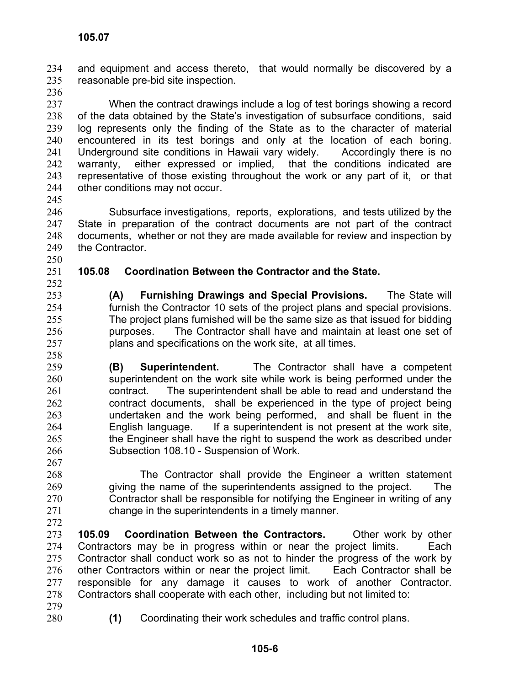and equipment and access thereto, that would normally be discovered by a reasonable pre-bid site inspection. 234 235

236

237 238 239 240 241 242 243 244 When the contract drawings include a log of test borings showing a record of the data obtained by the State's investigation of subsurface conditions, said log represents only the finding of the State as to the character of material encountered in its test borings and only at the location of each boring. Underground site conditions in Hawaii vary widely. Accordingly there is no warranty, either expressed or implied, that the conditions indicated are representative of those existing throughout the work or any part of it, or that other conditions may not occur.

245

246 247 248 249 Subsurface investigations, reports, explorations, and tests utilized by the State in preparation of the contract documents are not part of the contract documents, whether or not they are made available for review and inspection by the Contractor.

250

## 251 252 **105.08 Coordination Between the Contractor and the State.**

**(A) Furnishing Drawings and Special Provisions.** The State will furnish the Contractor 10 sets of the project plans and special provisions. The project plans furnished will be the same size as that issued for bidding purposes. The Contractor shall have and maintain at least one set of plans and specifications on the work site, at all times.

- 259 260 261 262 263 264 265 266 **(B) Superintendent.** The Contractor shall have a competent superintendent on the work site while work is being performed under the contract. The superintendent shall be able to read and understand the contract documents, shall be experienced in the type of project being undertaken and the work being performed, and shall be fluent in the English language. If a superintendent is not present at the work site, the Engineer shall have the right to suspend the work as described under Subsection 108.10 - Suspension of Work.
- 267 268 269 270 271 272 The Contractor shall provide the Engineer a written statement giving the name of the superintendents assigned to the project. The Contractor shall be responsible for notifying the Engineer in writing of any change in the superintendents in a timely manner.
- 273 274 275 276 277 278 **105.09 Coordination Between the Contractors.** Other work by other Contractors may be in progress within or near the project limits. Each Contractor shall conduct work so as not to hinder the progress of the work by other Contractors within or near the project limit. Each Contractor shall be responsible for any damage it causes to work of another Contractor. Contractors shall cooperate with each other, including but not limited to:
- 279
- 280
- **(1)** Coordinating their work schedules and traffic control plans.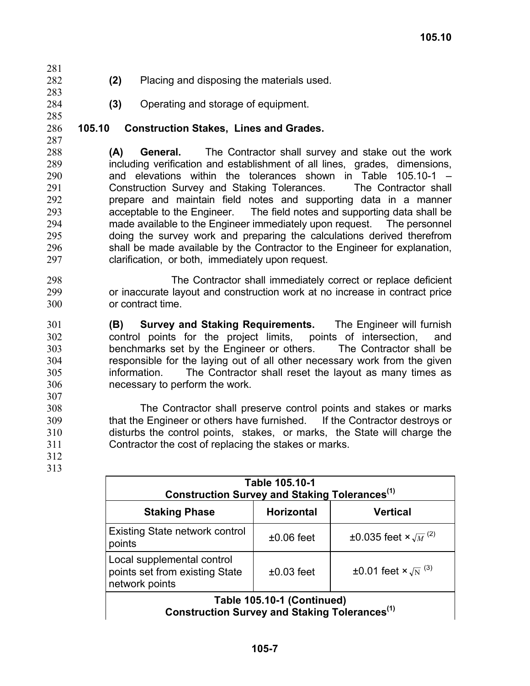- 282 **(2)** Placing and disposing the materials used.
	- **(3)** Operating and storage of equipment.

#### 286 **105.10 Construction Stakes, Lines and Grades.**

285 287

281

283 284

288 289 290 291 292 293 294 295 296 297 **(A) General.** The Contractor shall survey and stake out the work including verification and establishment of all lines, grades, dimensions, and elevations within the tolerances shown in Table 105.10-1 – Construction Survey and Staking Tolerances. The Contractor shall prepare and maintain field notes and supporting data in a manner acceptable to the Engineer. The field notes and supporting data shall be made available to the Engineer immediately upon request. The personnel doing the survey work and preparing the calculations derived therefrom shall be made available by the Contractor to the Engineer for explanation, clarification, or both, immediately upon request.

298 299 300 The Contractor shall immediately correct or replace deficient or inaccurate layout and construction work at no increase in contract price or contract time.

301 302 303 304 305 306 307 **(B) Survey and Staking Requirements.** The Engineer will furnish control points for the project limits, points of intersection, and benchmarks set by the Engineer or others. The Contractor shall be responsible for the laying out of all other necessary work from the given information. The Contractor shall reset the layout as many times as necessary to perform the work.

308 309 310 311 The Contractor shall preserve control points and stakes or marks that the Engineer or others have furnished. If the Contractor destroys or disturbs the control points, stakes, or marks, the State will charge the Contractor the cost of replacing the stakes or marks.

312 313

| Table 105.10-1<br>Construction Survey and Staking Tolerances <sup>(1)</sup>    |                   |                                                  |  |
|--------------------------------------------------------------------------------|-------------------|--------------------------------------------------|--|
| <b>Staking Phase</b>                                                           | <b>Horizontal</b> | <b>Vertical</b>                                  |  |
| <b>Existing State network control</b><br>points                                | $±0.06$ feet      | ±0.035 feet $\times \sqrt{M}^{(2)}$              |  |
| Local supplemental control<br>points set from existing State<br>network points | $±0.03$ feet      | $\pm 0.01$ feet $\times \sqrt{N}$ <sup>(3)</sup> |  |
| Table 105.10-1 (Continued)                                                     |                   |                                                  |  |

**Construction Survey and Staking Tolerances(1)**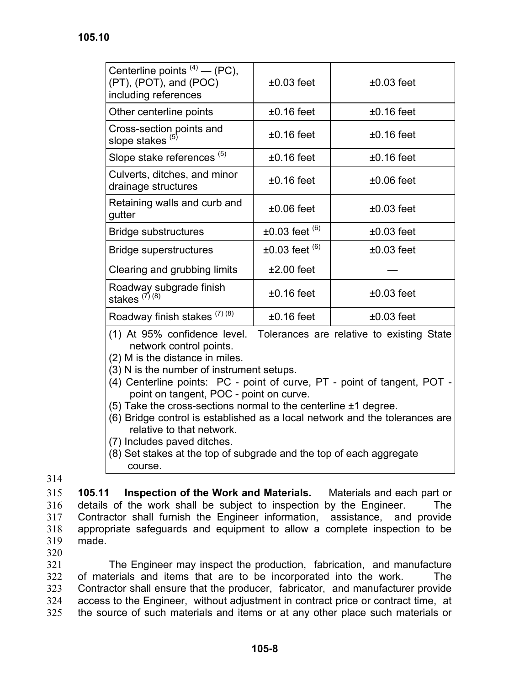| Centerline points $(4)$ — (PC),<br>(PT), (POT), and (POC)<br>including references | $±0.03$ feet             | $±0.03$ feet    |
|-----------------------------------------------------------------------------------|--------------------------|-----------------|
| Other centerline points                                                           | $±0.16$ feet             | $±0.16$ feet    |
| Cross-section points and<br>slope stakes $(5)$                                    | $±0.16$ feet             | $±0.16$ feet    |
| Slope stake references <sup>(5)</sup>                                             | $±0.16$ feet             | $±0.16$ feet    |
| Culverts, ditches, and minor<br>drainage structures                               | $±0.16$ feet             | $±0.06$ feet    |
| Retaining walls and curb and<br>gutter                                            | $±0.06$ feet             | $\pm 0.03$ feet |
| <b>Bridge substructures</b>                                                       | $\pm 0.03$ feet $^{(6)}$ | $±0.03$ feet    |
| <b>Bridge superstructures</b>                                                     | $\pm 0.03$ feet $^{(6)}$ | $\pm 0.03$ feet |
| Clearing and grubbing limits                                                      | $±2.00$ feet             |                 |
| Roadway subgrade finish<br>stakes $^{(7)(8)}$                                     | $±0.16$ feet             | $\pm 0.03$ feet |
| Roadway finish stakes (7) (8)                                                     | $±0.16$ feet             | $±0.03$ feet    |

(1) At 95% confidence level. Tolerances are relative to existing State network control points.

(2) M is the distance in miles.

- (3) N is the number of instrument setups.
- (4) Centerline points: PC point of curve, PT point of tangent, POT point on tangent, POC - point on curve.
- (5) Take the cross-sections normal to the centerline ±1 degree.
- (6) Bridge control is established as a local network and the tolerances are relative to that network.
- (7) Includes paved ditches.
- (8) Set stakes at the top of subgrade and the top of each aggregate course.

314

315 316 317 318 319 **105.11 Inspection of the Work and Materials.** Materials and each part or details of the work shall be subject to inspection by the Engineer. The Contractor shall furnish the Engineer information, assistance, and provide appropriate safeguards and equipment to allow a complete inspection to be made.

320

321 322 323 324 325 The Engineer may inspect the production, fabrication, and manufacture of materials and items that are to be incorporated into the work. The Contractor shall ensure that the producer, fabricator, and manufacturer provide access to the Engineer, without adjustment in contract price or contract time, at the source of such materials and items or at any other place such materials or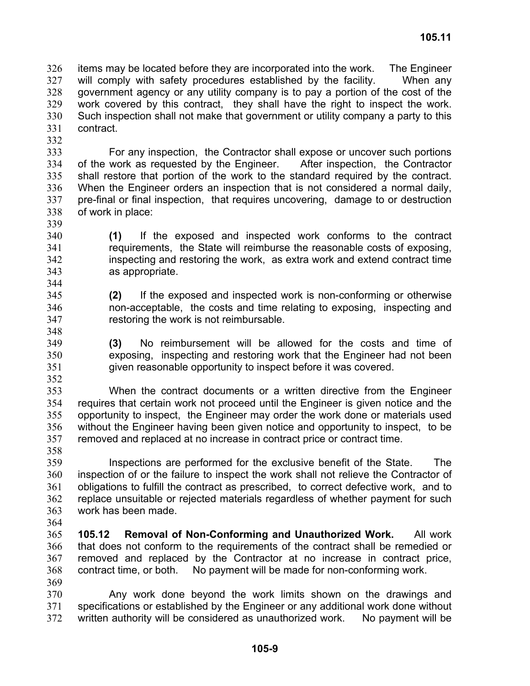items may be located before they are incorporated into the work. The Engineer will comply with safety procedures established by the facility. When any government agency or any utility company is to pay a portion of the cost of the work covered by this contract, they shall have the right to inspect the work. Such inspection shall not make that government or utility company a party to this contract. 326 327 328 329 330 331

332

333 334 335 336 337 338 For any inspection, the Contractor shall expose or uncover such portions of the work as requested by the Engineer. After inspection, the Contractor shall restore that portion of the work to the standard required by the contract. When the Engineer orders an inspection that is not considered a normal daily, pre-final or final inspection, that requires uncovering, damage to or destruction of work in place:

- 339 340 341 342 343 **(1)** If the exposed and inspected work conforms to the contract requirements, the State will reimburse the reasonable costs of exposing, inspecting and restoring the work, as extra work and extend contract time as appropriate.
- 345 346 347 **(2)** If the exposed and inspected work is non-conforming or otherwise non-acceptable, the costs and time relating to exposing, inspecting and restoring the work is not reimbursable.
- 348 349

350

344

**(3)** No reimbursement will be allowed for the costs and time of exposing, inspecting and restoring work that the Engineer had not been given reasonable opportunity to inspect before it was covered.

351 352

353 354 355 356 357 When the contract documents or a written directive from the Engineer requires that certain work not proceed until the Engineer is given notice and the opportunity to inspect, the Engineer may order the work done or materials used without the Engineer having been given notice and opportunity to inspect, to be removed and replaced at no increase in contract price or contract time.

358

359 360 361 362 363 Inspections are performed for the exclusive benefit of the State. The inspection of or the failure to inspect the work shall not relieve the Contractor of obligations to fulfill the contract as prescribed, to correct defective work, and to replace unsuitable or rejected materials regardless of whether payment for such work has been made.

364

365 366 367 368 369 **105.12 Removal of Non-Conforming and Unauthorized Work.** All work that does not conform to the requirements of the contract shall be remedied or removed and replaced by the Contractor at no increase in contract price, contract time, or both. No payment will be made for non-conforming work.

370 371 372 Any work done beyond the work limits shown on the drawings and specifications or established by the Engineer or any additional work done without written authority will be considered as unauthorized work. No payment will be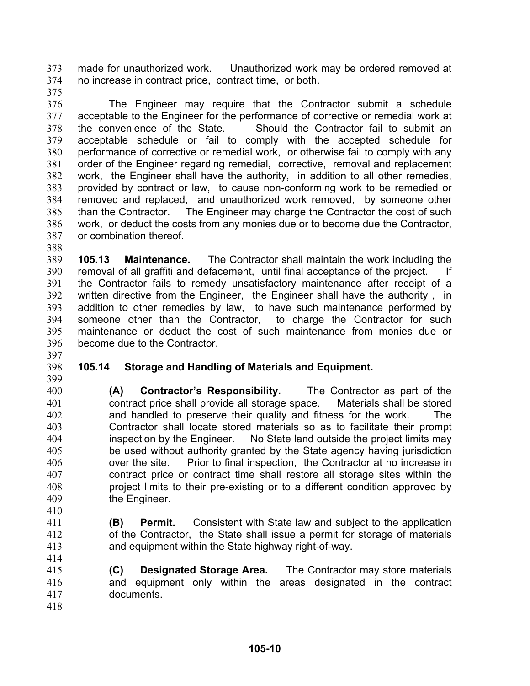made for unauthorized work. Unauthorized work may be ordered removed at no increase in contract price, contract time, or both. 373 374

375

376 377 378 379 380 381 382 383 384 385 386 387 The Engineer may require that the Contractor submit a schedule acceptable to the Engineer for the performance of corrective or remedial work at the convenience of the State. Should the Contractor fail to submit an acceptable schedule or fail to comply with the accepted schedule for performance of corrective or remedial work, or otherwise fail to comply with any order of the Engineer regarding remedial, corrective, removal and replacement work, the Engineer shall have the authority, in addition to all other remedies, provided by contract or law, to cause non-conforming work to be remedied or removed and replaced, and unauthorized work removed, by someone other than the Contractor. The Engineer may charge the Contractor the cost of such work, or deduct the costs from any monies due or to become due the Contractor, or combination thereof.

388

389 390 391 392 393 394 395 396 **105.13 Maintenance.** The Contractor shall maintain the work including the removal of all graffiti and defacement, until final acceptance of the project. If the Contractor fails to remedy unsatisfactory maintenance after receipt of a written directive from the Engineer, the Engineer shall have the authority , in addition to other remedies by law, to have such maintenance performed by someone other than the Contractor, to charge the Contractor for such maintenance or deduct the cost of such maintenance from monies due or become due to the Contractor.

## 398 **105.14 Storage and Handling of Materials and Equipment.**

399

397

400 401 402 403 404 405 406 407 408 409 410 **(A) Contractor's Responsibility.** The Contractor as part of the contract price shall provide all storage space. Materials shall be stored and handled to preserve their quality and fitness for the work. The Contractor shall locate stored materials so as to facilitate their prompt inspection by the Engineer. No State land outside the project limits may be used without authority granted by the State agency having jurisdiction over the site. Prior to final inspection, the Contractor at no increase in contract price or contract time shall restore all storage sites within the project limits to their pre-existing or to a different condition approved by the Engineer.

- 411 412 413 **(B) Permit.** Consistent with State law and subject to the application of the Contractor, the State shall issue a permit for storage of materials and equipment within the State highway right-of-way.
- 415 416 417 **(C) Designated Storage Area.** The Contractor may store materials and equipment only within the areas designated in the contract documents.

414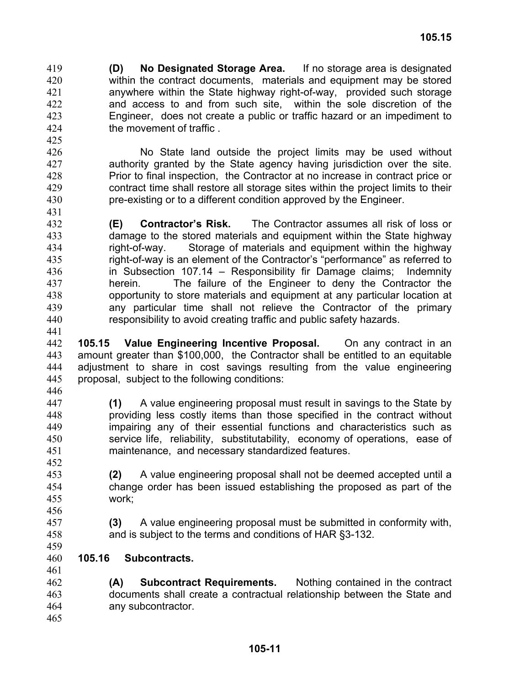**(D) No Designated Storage Area.** If no storage area is designated within the contract documents, materials and equipment may be stored anywhere within the State highway right-of-way, provided such storage and access to and from such site, within the sole discretion of the Engineer, does not create a public or traffic hazard or an impediment to the movement of traffic . 419 420 421 422 423 424

- 426 427 428 429 430 431 No State land outside the project limits may be used without authority granted by the State agency having jurisdiction over the site. Prior to final inspection, the Contractor at no increase in contract price or contract time shall restore all storage sites within the project limits to their pre-existing or to a different condition approved by the Engineer.
- 432 433 434 435 436 437 438 439 440 **(E) Contractor's Risk.** The Contractor assumes all risk of loss or damage to the stored materials and equipment within the State highway right-of-way. Storage of materials and equipment within the highway right-of-way is an element of the Contractor's "performance" as referred to in Subsection 107.14 – Responsibility fir Damage claims; Indemnity herein. The failure of the Engineer to deny the Contractor the opportunity to store materials and equipment at any particular location at any particular time shall not relieve the Contractor of the primary responsibility to avoid creating traffic and public safety hazards.
- 441

425

442 443 444 445 **105.15 Value Engineering Incentive Proposal.** On any contract in an amount greater than \$100,000, the Contractor shall be entitled to an equitable adjustment to share in cost savings resulting from the value engineering proposal, subject to the following conditions:

446

459

- 447 448 449 450 451 452 **(1)** A value engineering proposal must result in savings to the State by providing less costly items than those specified in the contract without impairing any of their essential functions and characteristics such as service life, reliability, substitutability, economy of operations, ease of maintenance, and necessary standardized features.
- 453 454 455 **(2)** A value engineering proposal shall not be deemed accepted until a change order has been issued establishing the proposed as part of the work;
- 456 457 458 **(3)** A value engineering proposal must be submitted in conformity with, and is subject to the terms and conditions of HAR §3-132.
- 460 **105.16 Subcontracts.**
- 461 462 463 464 465 **(A) Subcontract Requirements.** Nothing contained in the contract documents shall create a contractual relationship between the State and any subcontractor.
	- **105-11**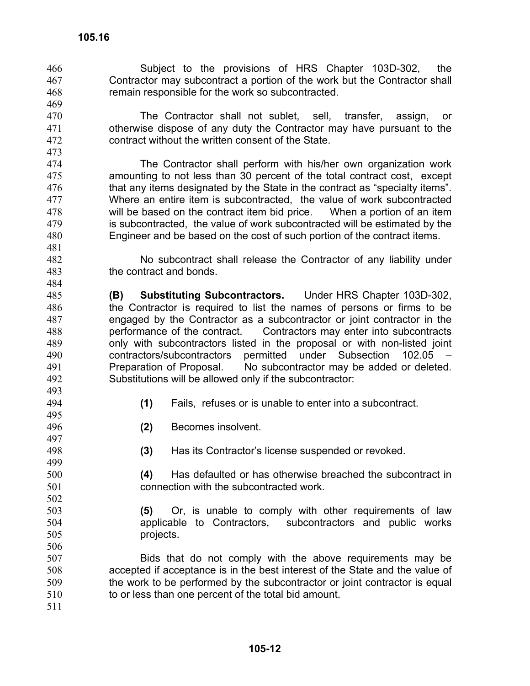469

473

481

484

- Subject to the provisions of HRS Chapter 103D-302, the Contractor may subcontract a portion of the work but the Contractor shall remain responsible for the work so subcontracted. 466 467 468
- 470 471 472 The Contractor shall not sublet, sell, transfer, assign, or otherwise dispose of any duty the Contractor may have pursuant to the contract without the written consent of the State.
- 474 475 476 477 478 479 480 The Contractor shall perform with his/her own organization work amounting to not less than 30 percent of the total contract cost, except that any items designated by the State in the contract as "specialty items". Where an entire item is subcontracted, the value of work subcontracted will be based on the contract item bid price. When a portion of an item is subcontracted, the value of work subcontracted will be estimated by the Engineer and be based on the cost of such portion of the contract items.
- 482 483 No subcontract shall release the Contractor of any liability under the contract and bonds.
- 485 486 487 488 489 490 491 492 **(B) Substituting Subcontractors.** Under HRS Chapter 103D-302, the Contractor is required to list the names of persons or firms to be engaged by the Contractor as a subcontractor or joint contractor in the performance of the contract. Contractors may enter into subcontracts only with subcontractors listed in the proposal or with non-listed joint contractors/subcontractors permitted under Subsection 102.05 – Preparation of Proposal. No subcontractor may be added or deleted. Substitutions will be allowed only if the subcontractor:
- 493 494 495

- **(1)** Fails, refuses or is unable to enter into a subcontract.
- **(2)** Becomes insolvent.
- **(3)** Has its Contractor's license suspended or revoked.
- **(4)** Has defaulted or has otherwise breached the subcontract in connection with the subcontracted work.
- **(5)** Or, is unable to comply with other requirements of law applicable to Contractors, subcontractors and public works projects.
- 507 508 509 510 Bids that do not comply with the above requirements may be accepted if acceptance is in the best interest of the State and the value of the work to be performed by the subcontractor or joint contractor is equal to or less than one percent of the total bid amount.
- 511